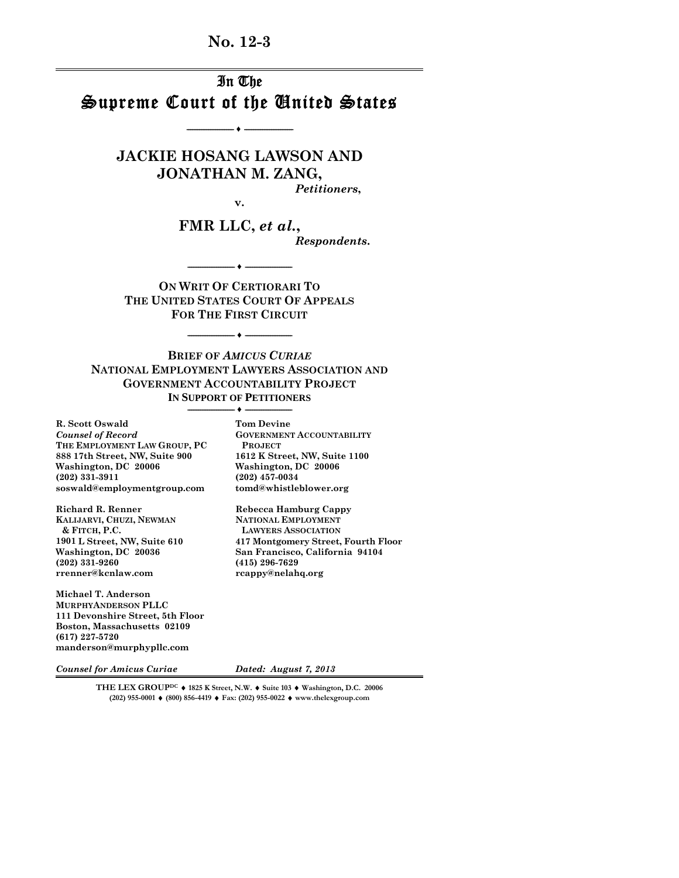**No. 12-3** 

# In The Supreme Court of the United States

**-------------------------- ♦ ---------------------------** 

**JACKIE HOSANG LAWSON AND JONATHAN M. ZANG,** 

**v.** 

*Petitioners***,**

**FMR LLC,** *et al.***,** 

*Respondents***.**

**ON WRIT OF CERTIORARI TO THE UNITED STATES COURT OF APPEALS FOR THE FIRST CIRCUIT**

**-------------------------- ♦ --------------------------** 

**-------------------------- ♦ --------------------------** 

**BRIEF OF** *AMICUS CURIAE*  **NATIONAL EMPLOYMENT LAWYERS ASSOCIATION AND GOVERNMENT ACCOUNTABILITY PROJECT IN SUPPORT OF PETITIONERS**

**-------------------------- ♦ --------------------------** 

**(202) 331-3911 (202) 457-0034** 

**(202) 331-9260 (415) 296-7629** 

 $LAWYERS ASSOCIATION$ 

**R. Scott Oswald Tom Devine**  *Counsel of Record* **GOVERNMENT ACCOUNTABILITY THE EMPLOYMENT LAW GROUP, PC** PROJECT<br>
888 17th Street, NW, Suite 900 1612 K Street, NW, Suite 1100 **888 17th Street, NW, Suite 900<br>Washington, DC 20006** Washington, DC 20006 **Washington, DC 20006 Washington, DC 20006 (202)** 331-3911 **soswald@employmentgroup.com tomd@whistleblower.org** 

Richard R. Renner Rebecca Hamburg Cappy **KALIJARVI, CHUZI, NEWMAN NATIONAL EMPLOYMENT & FITCH, P.C. LAWYERS ASSOCIATION 1901 L Street, NW, Suite 610 417 Montgomery Street, Fourth Floor**  Washington, DC 20036 **San Francisco, California 94104** (202) 331-9260 **(415)** 296-7629 **rrenner@kcnlaw.com rcappy@nelahq.org** 

**Michael T. Anderson MURPHYANDERSON PLLC 111 Devonshire Street, 5th Floor Boston, Massachusetts 02109 (617) 227-5720 manderson@murphypllc.com** 

*Counsel for Amicus Curiae Dated: August 7, 2013*

**THE LEX GROUPDC 1825 K Street, N.W. Suite 103 Washington, D.C. 20006 (202) 955-0001 (800) 856-4419 Fax: (202) 955-0022 www.thelexgroup.com**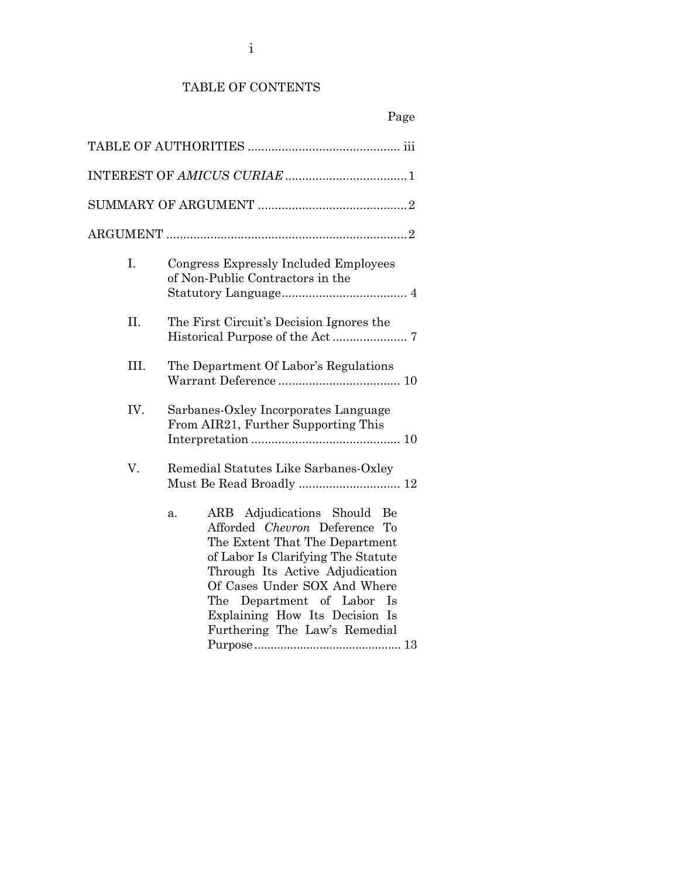## TABLE OF CONTENTS

| I.   | Congress Expressly Included Employees<br>of Non-Public Contractors in the                                                                                                                                                                                                                                                        |
|------|----------------------------------------------------------------------------------------------------------------------------------------------------------------------------------------------------------------------------------------------------------------------------------------------------------------------------------|
| II.  | The First Circuit's Decision Ignores the                                                                                                                                                                                                                                                                                         |
| III. | The Department Of Labor's Regulations                                                                                                                                                                                                                                                                                            |
| IV.  | Sarbanes-Oxley Incorporates Language<br>From AIR21, Further Supporting This                                                                                                                                                                                                                                                      |
| V.   | Remedial Statutes Like Sarbanes-Oxley<br>Must Be Read Broadly  12                                                                                                                                                                                                                                                                |
|      | ARB Adjudications Should<br>Be<br>a.<br>Afforded Chevron Deference To<br>The Extent That The Department<br>of Labor Is Clarifying The Statute<br>Through Its Active Adjudication<br>Of Cases Under SOX And Where<br>The Department of Labor<br><sup>1</sup> s<br>Explaining How Its Decision Is<br>Furthering The Law's Remedial |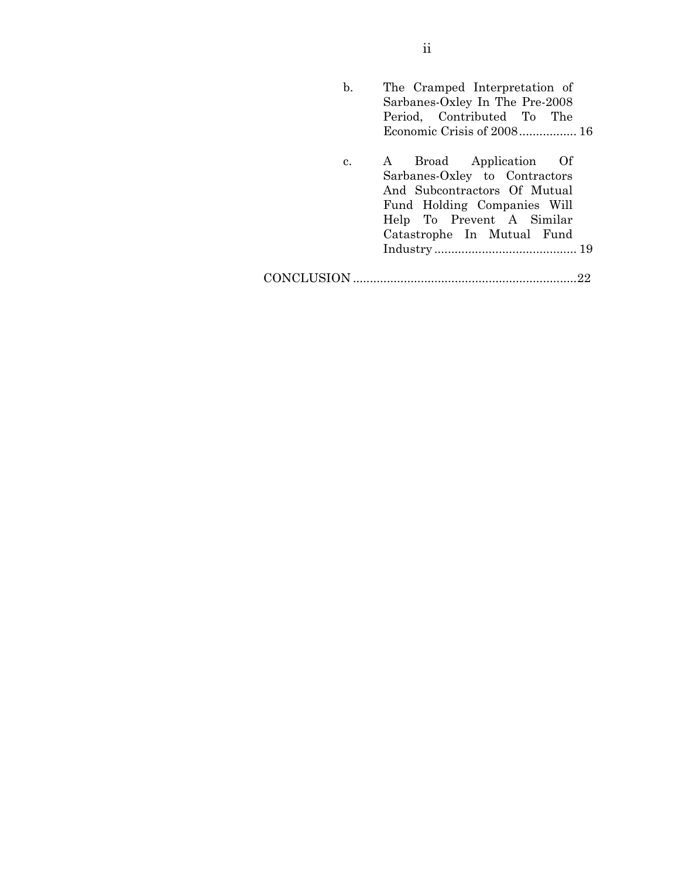| b. | The Cramped Interpretation of<br>Sarbanes-Oxley In The Pre-2008<br>Period, Contributed To The<br>Economic Crisis of 2008 16                                                       |
|----|-----------------------------------------------------------------------------------------------------------------------------------------------------------------------------------|
| c. | A Broad Application Of<br>Sarbanes-Oxley to Contractors<br>And Subcontractors Of Mutual<br>Fund Holding Companies Will<br>Help To Prevent A Similar<br>Catastrophe In Mutual Fund |
|    |                                                                                                                                                                                   |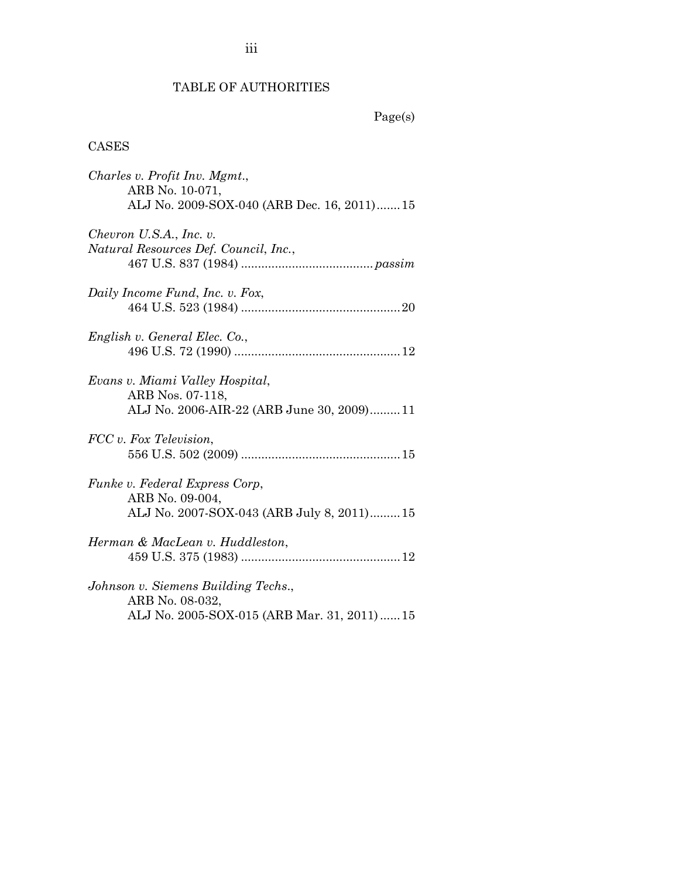# TABLE OF AUTHORITIES

### CASES

| Charles v. Profit Inv. Mgmt.,              |
|--------------------------------------------|
| ARB No. 10-071,                            |
| ALJ No. 2009-SOX-040 (ARB Dec. 16, 2011)15 |
| Chevron U.S.A., Inc. v.                    |
| Natural Resources Def. Council, Inc.,      |
|                                            |
| Daily Income Fund, Inc. v. Fox,            |
|                                            |
| English v. General Elec. Co.,              |
|                                            |
| Evans v. Miami Valley Hospital,            |
| ARB Nos. 07-118,                           |
| ALJ No. 2006-AIR-22 (ARB June 30, 2009)11  |
| FCC v. Fox Television,                     |
|                                            |
| Funke v. Federal Express Corp,             |
| ARB No. 09-004,                            |
| ALJ No. 2007-SOX-043 (ARB July 8, 2011)15  |
| Herman & MacLean v. Huddleston,            |
|                                            |
| Johnson v. Siemens Building Techs.,        |
| ARB No. 08-032,                            |
| ALJ No. 2005-SOX-015 (ARB Mar. 31, 2011)15 |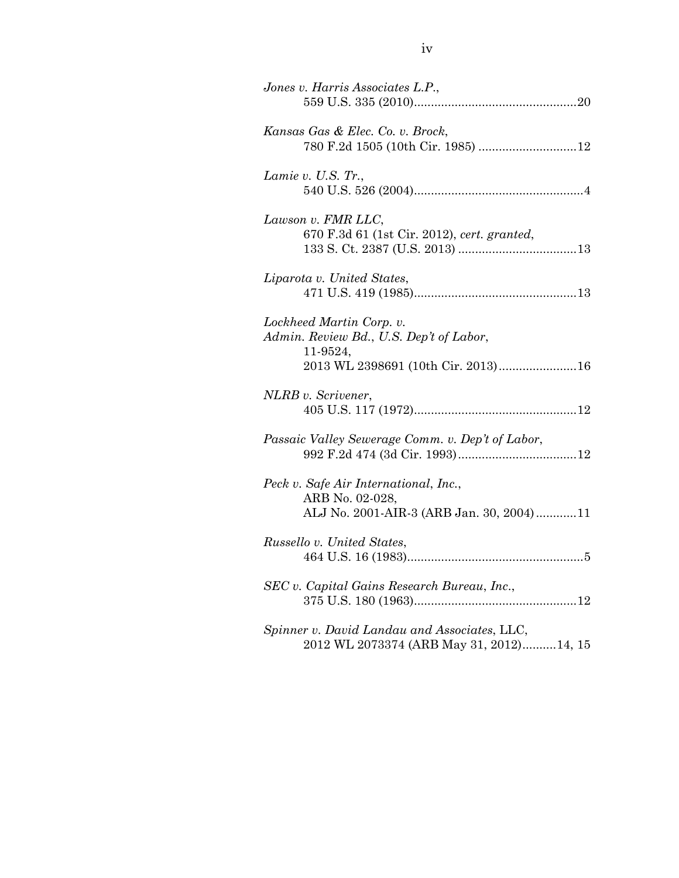| Jones v. Harris Associates L.P.,                                                                                      |
|-----------------------------------------------------------------------------------------------------------------------|
| Kansas Gas & Elec. Co. v. Brock,                                                                                      |
| Lamie v. U.S. Tr.,                                                                                                    |
| Lawson v. FMR LLC,<br>670 F.3d 61 (1st Cir. 2012), cert. granted,                                                     |
| Liparota v. United States,                                                                                            |
| Lockheed Martin Corp. v.<br>Admin. Review Bd., U.S. Dep't of Labor,<br>11-9524,<br>2013 WL 2398691 (10th Cir. 2013)16 |
| NLRB v. Scrivener,                                                                                                    |
| Passaic Valley Sewerage Comm. v. Dep't of Labor,                                                                      |
| Peck v. Safe Air International, Inc.,<br>ARB No. 02-028,<br>ALJ No. 2001-AIR-3 (ARB Jan. 30, 2004)11                  |
| Russello v. United States,                                                                                            |
| SEC v. Capital Gains Research Bureau, Inc.,                                                                           |
| Spinner v. David Landau and Associates, LLC,<br>2012 WL 2073374 (ARB May 31, 2012)14, 15                              |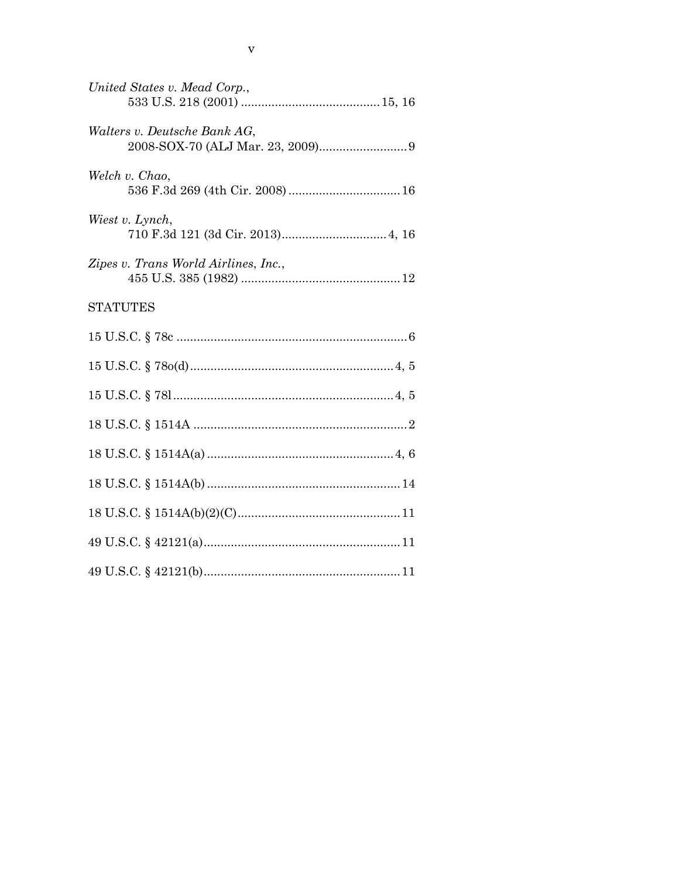| United States v. Mead Corp.,         |  |
|--------------------------------------|--|
| Walters v. Deutsche Bank AG,         |  |
| Welch v. Chao,                       |  |
| Wiest v. Lynch,                      |  |
| Zipes v. Trans World Airlines, Inc., |  |
| <b>STATUTES</b>                      |  |
|                                      |  |
|                                      |  |
|                                      |  |
|                                      |  |
|                                      |  |
|                                      |  |
|                                      |  |
|                                      |  |
|                                      |  |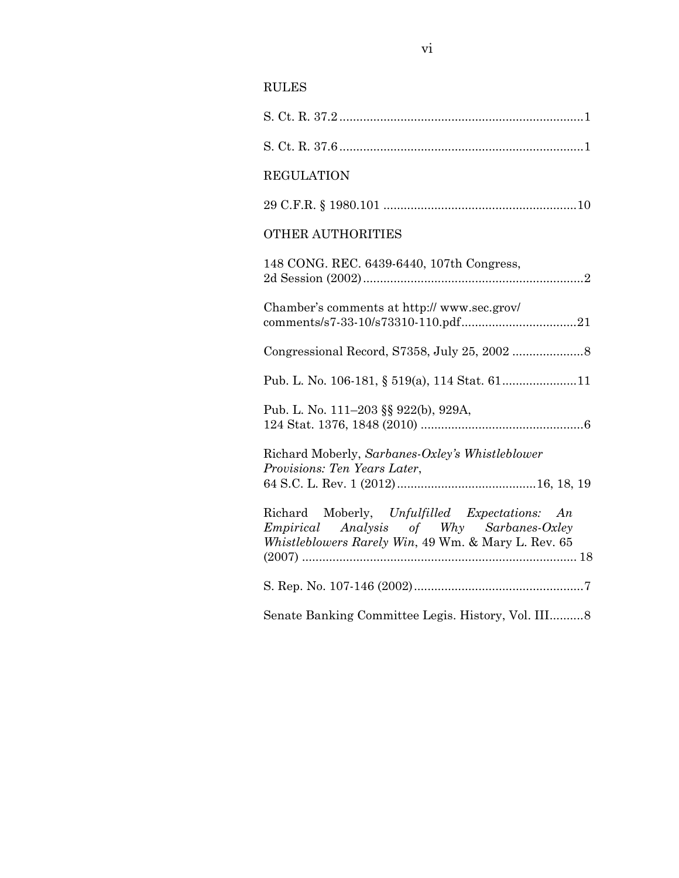## RULES

| <b>REGULATION</b>                                                                                                                                |
|--------------------------------------------------------------------------------------------------------------------------------------------------|
|                                                                                                                                                  |
| <b>OTHER AUTHORITIES</b>                                                                                                                         |
| 148 CONG. REC. 6439-6440, 107th Congress,                                                                                                        |
| Chamber's comments at http://www.sec.grov/                                                                                                       |
|                                                                                                                                                  |
| Pub. L. No. 106-181, § 519(a), 114 Stat. 6111                                                                                                    |
| Pub. L. No. 111-203 §§ 922(b), 929A,                                                                                                             |
| Richard Moberly, Sarbanes-Oxley's Whistleblower<br>Provisions: Ten Years Later,                                                                  |
| Richard Moberly, Unfulfilled Expectations: An<br>Empirical Analysis of Why Sarbanes-Oxley<br>Whistleblowers Rarely Win, 49 Wm. & Mary L. Rev. 65 |
|                                                                                                                                                  |
| Senate Banking Committee Legis. History, Vol. III 8                                                                                              |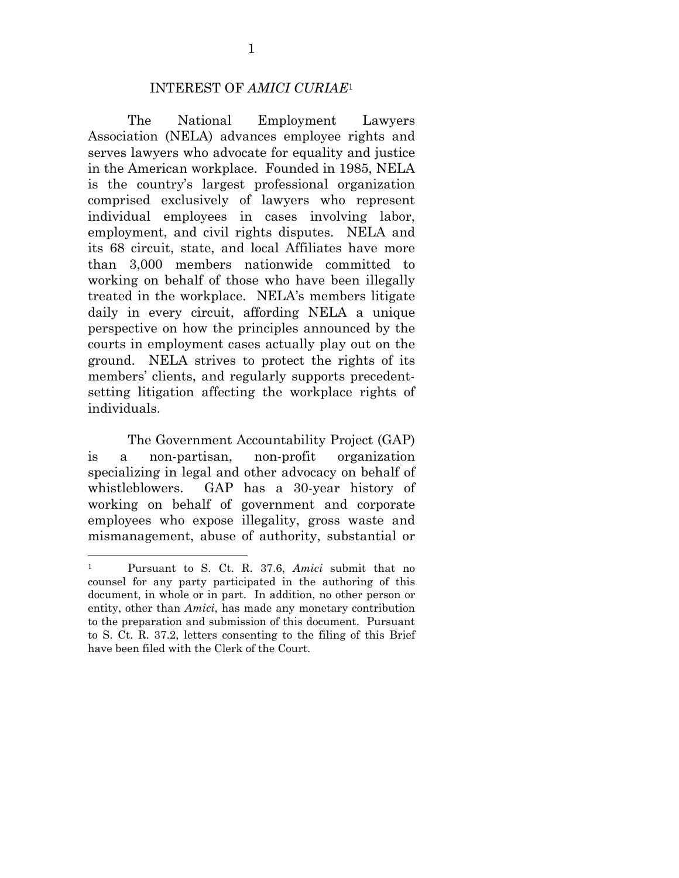### INTEREST OF *AMICI CURIAE*<sup>1</sup>

 The National Employment Lawyers Association (NELA) advances employee rights and serves lawyers who advocate for equality and justice in the American workplace. Founded in 1985, NELA is the country's largest professional organization comprised exclusively of lawyers who represent individual employees in cases involving labor, employment, and civil rights disputes. NELA and its 68 circuit, state, and local Affiliates have more than 3,000 members nationwide committed to working on behalf of those who have been illegally treated in the workplace. NELA's members litigate daily in every circuit, affording NELA a unique perspective on how the principles announced by the courts in employment cases actually play out on the ground. NELA strives to protect the rights of its members' clients, and regularly supports precedentsetting litigation affecting the workplace rights of individuals.

 The Government Accountability Project (GAP) is a non-partisan, non-profit organization specializing in legal and other advocacy on behalf of whistleblowers. GAP has a 30-year history of working on behalf of government and corporate employees who expose illegality, gross waste and mismanagement, abuse of authority, substantial or

 $\overline{a}$ 

<sup>1</sup> Pursuant to S. Ct. R. 37.6, *Amici* submit that no counsel for any party participated in the authoring of this document, in whole or in part. In addition, no other person or entity, other than *Amici*, has made any monetary contribution to the preparation and submission of this document. Pursuant to S. Ct. R. 37.2, letters consenting to the filing of this Brief have been filed with the Clerk of the Court.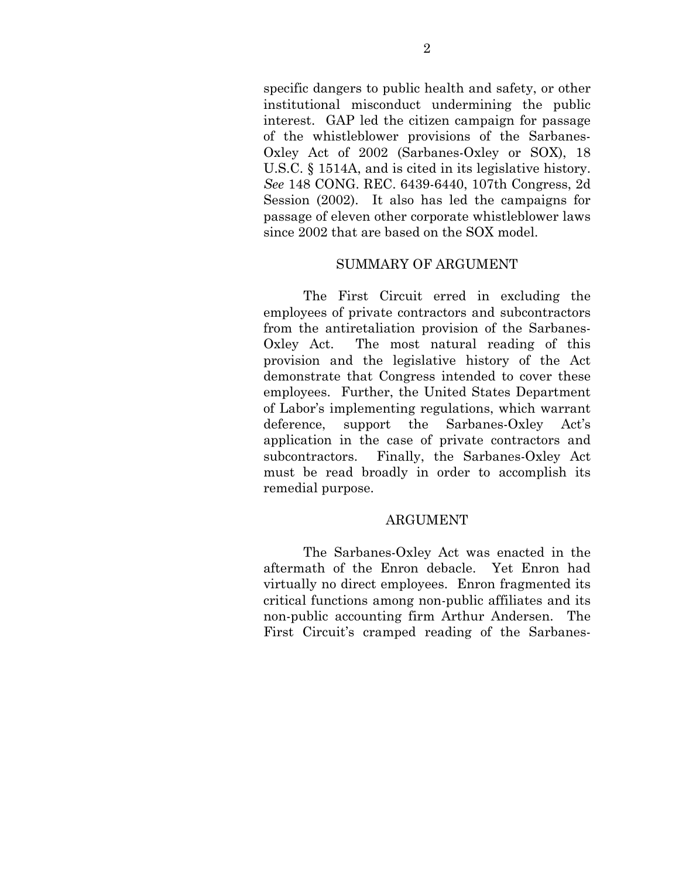specific dangers to public health and safety, or other institutional misconduct undermining the public interest. GAP led the citizen campaign for passage of the whistleblower provisions of the Sarbanes-Oxley Act of 2002 (Sarbanes-Oxley or SOX), 18 U.S.C. § 1514A, and is cited in its legislative history. *See* 148 CONG. REC. 6439-6440, 107th Congress, 2d Session (2002). It also has led the campaigns for passage of eleven other corporate whistleblower laws since 2002 that are based on the SOX model.

### SUMMARY OF ARGUMENT

 The First Circuit erred in excluding the employees of private contractors and subcontractors from the antiretaliation provision of the Sarbanes-Oxley Act. The most natural reading of this provision and the legislative history of the Act demonstrate that Congress intended to cover these employees. Further, the United States Department of Labor's implementing regulations, which warrant deference, support the Sarbanes-Oxley Act's application in the case of private contractors and subcontractors. Finally, the Sarbanes-Oxley Act must be read broadly in order to accomplish its remedial purpose.

### ARGUMENT

 The Sarbanes-Oxley Act was enacted in the aftermath of the Enron debacle. Yet Enron had virtually no direct employees. Enron fragmented its critical functions among non-public affiliates and its non-public accounting firm Arthur Andersen. The First Circuit's cramped reading of the Sarbanes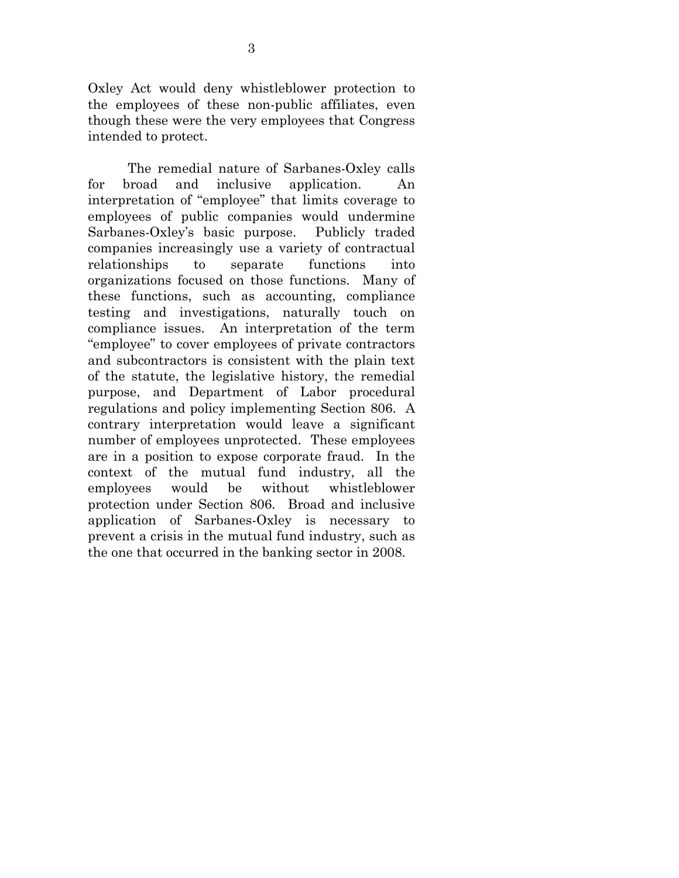Oxley Act would deny whistleblower protection to the employees of these non-public affiliates, even though these were the very employees that Congress intended to protect.

 The remedial nature of Sarbanes-Oxley calls for broad and inclusive application. An interpretation of "employee" that limits coverage to employees of public companies would undermine Sarbanes-Oxley's basic purpose. Publicly traded companies increasingly use a variety of contractual relationships to separate functions into organizations focused on those functions. Many of these functions, such as accounting, compliance testing and investigations, naturally touch on compliance issues. An interpretation of the term "employee" to cover employees of private contractors and subcontractors is consistent with the plain text of the statute, the legislative history, the remedial purpose, and Department of Labor procedural regulations and policy implementing Section 806. A contrary interpretation would leave a significant number of employees unprotected. These employees are in a position to expose corporate fraud. In the context of the mutual fund industry, all the employees would be without whistleblower protection under Section 806. Broad and inclusive application of Sarbanes-Oxley is necessary to prevent a crisis in the mutual fund industry, such as the one that occurred in the banking sector in 2008.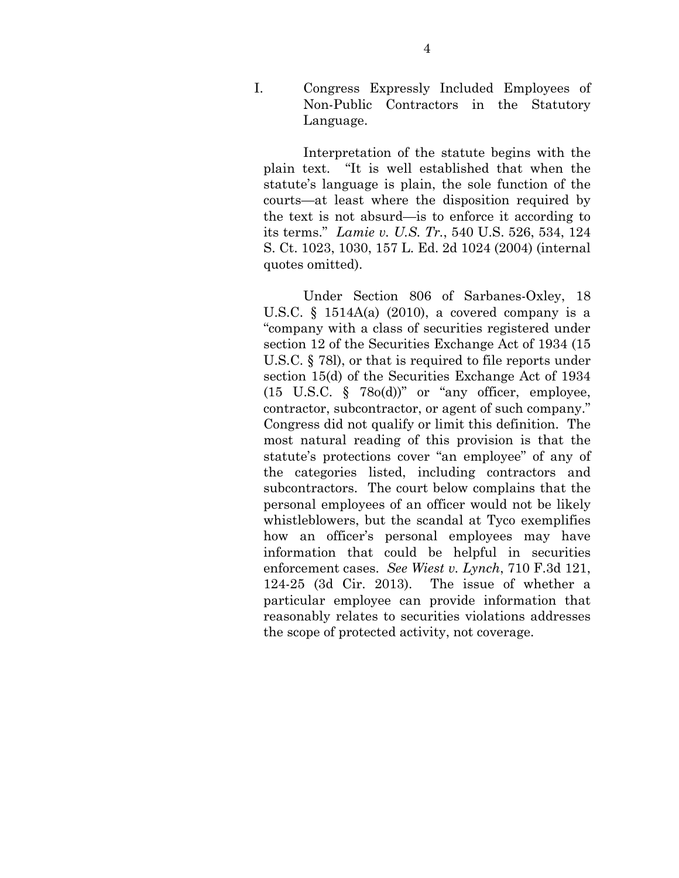I. Congress Expressly Included Employees of Non-Public Contractors in the Statutory Language.

 Interpretation of the statute begins with the plain text. "It is well established that when the statute's language is plain, the sole function of the courts—at least where the disposition required by the text is not absurd—is to enforce it according to its terms." *Lamie v. U.S. Tr.*, 540 U.S. 526, 534, 124 S. Ct. 1023, 1030, 157 L. Ed. 2d 1024 (2004) (internal quotes omitted).

 Under Section 806 of Sarbanes-Oxley, 18 U.S.C.  $\S$  1514A(a) (2010), a covered company is a "company with a class of securities registered under section 12 of the Securities Exchange Act of 1934 (15 U.S.C. § 78l), or that is required to file reports under section 15(d) of the Securities Exchange Act of 1934  $(15 \text{ U.S.C. } \S$  78o(d))" or "any officer, employee, contractor, subcontractor, or agent of such company." Congress did not qualify or limit this definition. The most natural reading of this provision is that the statute's protections cover "an employee" of any of the categories listed, including contractors and subcontractors. The court below complains that the personal employees of an officer would not be likely whistleblowers, but the scandal at Tyco exemplifies how an officer's personal employees may have information that could be helpful in securities enforcement cases. *See Wiest v. Lynch*, 710 F.3d 121, 124-25 (3d Cir. 2013). The issue of whether a particular employee can provide information that reasonably relates to securities violations addresses the scope of protected activity, not coverage.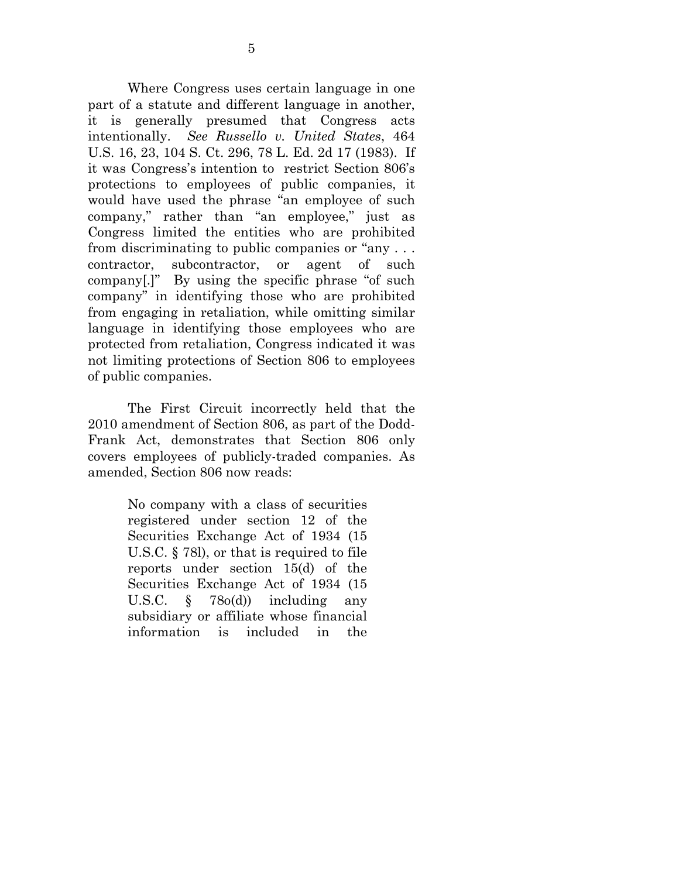Where Congress uses certain language in one part of a statute and different language in another, it is generally presumed that Congress acts intentionally. *See Russello v. United States*, 464 U.S. 16, 23, 104 S. Ct. 296, 78 L. Ed. 2d 17 (1983). If it was Congress's intention to restrict Section 806's protections to employees of public companies, it would have used the phrase "an employee of such company," rather than "an employee," just as Congress limited the entities who are prohibited from discriminating to public companies or "any . . . contractor, subcontractor, or agent of such company[.]" By using the specific phrase "of such company" in identifying those who are prohibited from engaging in retaliation, while omitting similar language in identifying those employees who are protected from retaliation, Congress indicated it was not limiting protections of Section 806 to employees of public companies.

 The First Circuit incorrectly held that the 2010 amendment of Section 806, as part of the Dodd-Frank Act, demonstrates that Section 806 only covers employees of publicly-traded companies. As amended, Section 806 now reads:

> No company with a class of securities registered under section 12 of the Securities Exchange Act of 1934 (15 U.S.C. § 78l), or that is required to file reports under section 15(d) of the Securities Exchange Act of 1934 (15 U.S.C.  $\frac{1}{2}$  78o(d)) including any subsidiary or affiliate whose financial information is included in the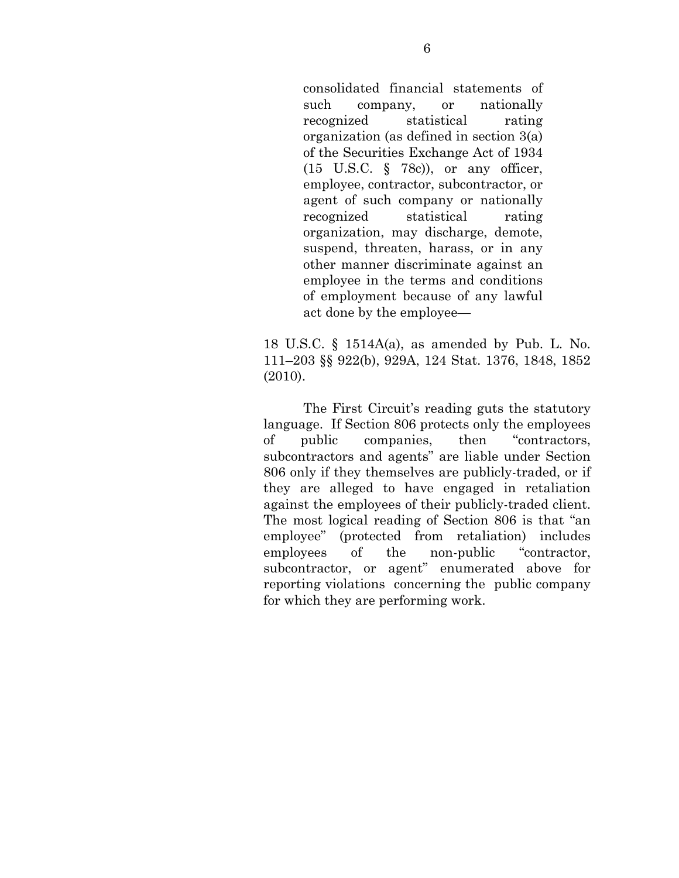consolidated financial statements of such company, or nationally recognized statistical rating organization (as defined in section 3(a) of the Securities Exchange Act of 1934 (15 U.S.C. § 78c)), or any officer, employee, contractor, subcontractor, or agent of such company or nationally recognized statistical rating organization, may discharge, demote, suspend, threaten, harass, or in any other manner discriminate against an employee in the terms and conditions of employment because of any lawful act done by the employee—

18 U.S.C. § 1514A(a), as amended by Pub. L. No. 111–203 §§ 922(b), 929A, 124 Stat. 1376, 1848, 1852 (2010).

 The First Circuit's reading guts the statutory language. If Section 806 protects only the employees of public companies, then "contractors, subcontractors and agents" are liable under Section 806 only if they themselves are publicly-traded, or if they are alleged to have engaged in retaliation against the employees of their publicly-traded client. The most logical reading of Section 806 is that "an employee" (protected from retaliation) includes employees of the non-public "contractor, subcontractor, or agent" enumerated above for reporting violations concerning the public company for which they are performing work.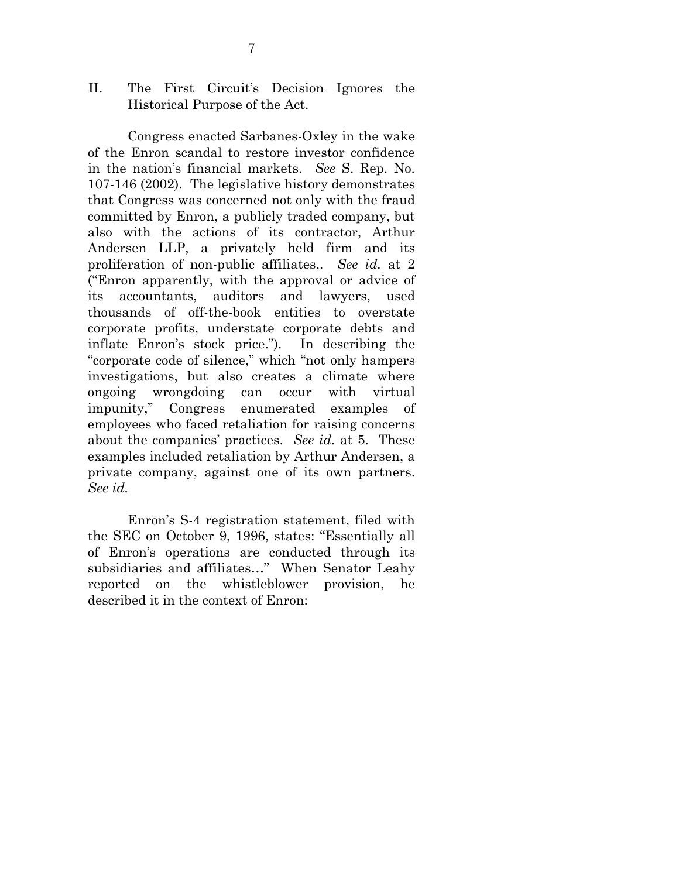II. The First Circuit's Decision Ignores the Historical Purpose of the Act.

 Congress enacted Sarbanes-Oxley in the wake of the Enron scandal to restore investor confidence in the nation's financial markets. *See* S. Rep. No. 107-146 (2002). The legislative history demonstrates that Congress was concerned not only with the fraud committed by Enron, a publicly traded company, but also with the actions of its contractor, Arthur Andersen LLP, a privately held firm and its proliferation of non-public affiliates,. *See id.* at 2 ("Enron apparently, with the approval or advice of its accountants, auditors and lawyers, used thousands of off-the-book entities to overstate corporate profits, understate corporate debts and inflate Enron's stock price."). In describing the "corporate code of silence," which "not only hampers investigations, but also creates a climate where ongoing wrongdoing can occur with virtual impunity," Congress enumerated examples of employees who faced retaliation for raising concerns about the companies' practices. *See id.* at 5. These examples included retaliation by Arthur Andersen, a private company, against one of its own partners. *See id.* 

 Enron's S-4 registration statement, filed with the SEC on October 9, 1996, states: "Essentially all of Enron's operations are conducted through its subsidiaries and affiliates…" When Senator Leahy reported on the whistleblower provision, he described it in the context of Enron: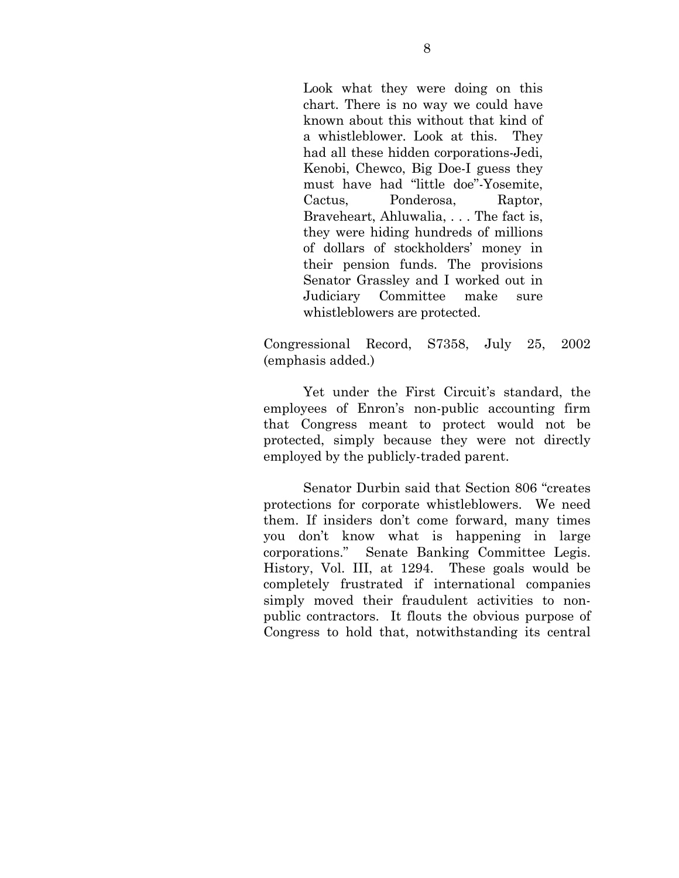Look what they were doing on this chart. There is no way we could have known about this without that kind of a whistleblower. Look at this. They had all these hidden corporations-Jedi, Kenobi, Chewco, Big Doe-I guess they must have had "little doe"-Yosemite, Cactus, Ponderosa, Raptor, Braveheart, Ahluwalia, . . . The fact is, they were hiding hundreds of millions of dollars of stockholders' money in their pension funds. The provisions Senator Grassley and I worked out in Judiciary Committee make sure whistleblowers are protected.

Congressional Record, S7358, July 25, 2002 (emphasis added.)

 Yet under the First Circuit's standard, the employees of Enron's non-public accounting firm that Congress meant to protect would not be protected, simply because they were not directly employed by the publicly-traded parent.

 Senator Durbin said that Section 806 "creates protections for corporate whistleblowers. We need them. If insiders don't come forward, many times you don't know what is happening in large corporations." Senate Banking Committee Legis. History, Vol. III, at 1294. These goals would be completely frustrated if international companies simply moved their fraudulent activities to nonpublic contractors. It flouts the obvious purpose of Congress to hold that, notwithstanding its central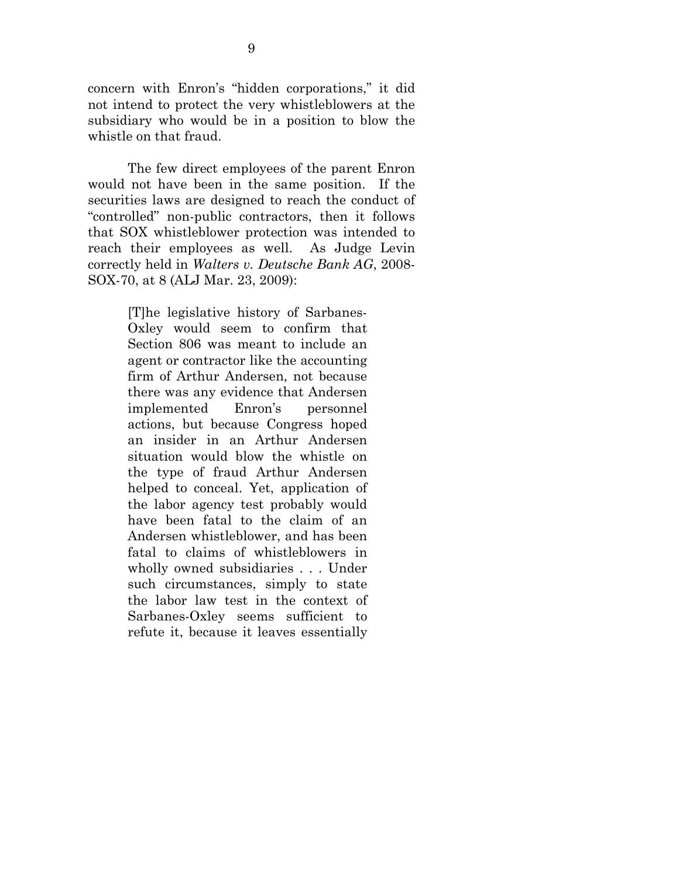concern with Enron's "hidden corporations," it did not intend to protect the very whistleblowers at the subsidiary who would be in a position to blow the whistle on that fraud.

 The few direct employees of the parent Enron would not have been in the same position. If the securities laws are designed to reach the conduct of "controlled" non-public contractors, then it follows that SOX whistleblower protection was intended to reach their employees as well. As Judge Levin correctly held in *Walters v. Deutsche Bank AG*, 2008- SOX-70, at 8 (ALJ Mar. 23, 2009):

> [T]he legislative history of Sarbanes-Oxley would seem to confirm that Section 806 was meant to include an agent or contractor like the accounting firm of Arthur Andersen, not because there was any evidence that Andersen implemented Enron's personnel actions, but because Congress hoped an insider in an Arthur Andersen situation would blow the whistle on the type of fraud Arthur Andersen helped to conceal. Yet, application of the labor agency test probably would have been fatal to the claim of an Andersen whistleblower, and has been fatal to claims of whistleblowers in wholly owned subsidiaries . . . Under such circumstances, simply to state the labor law test in the context of Sarbanes-Oxley seems sufficient to refute it, because it leaves essentially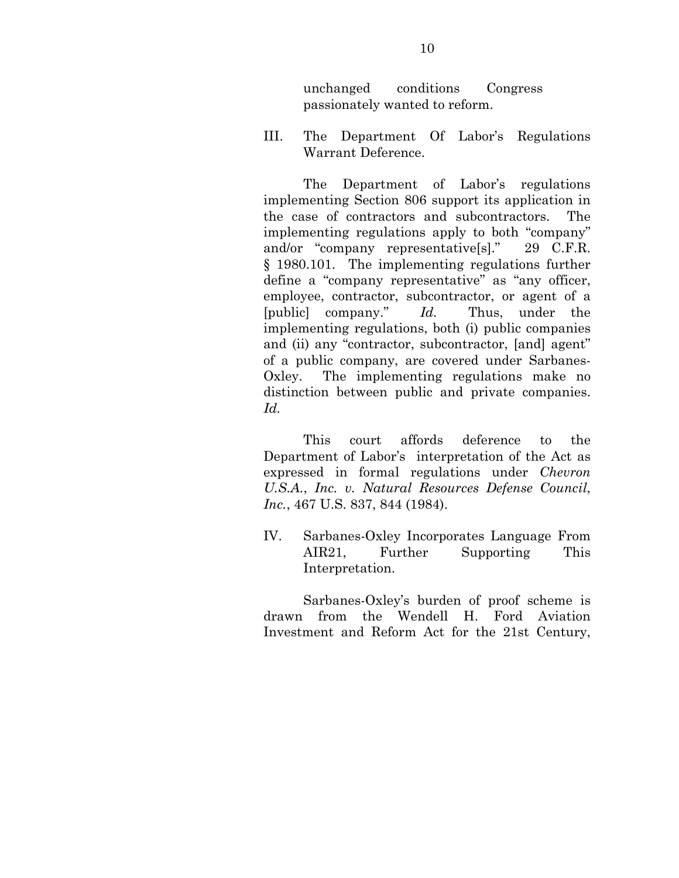unchanged conditions Congress passionately wanted to reform.

III. The Department Of Labor's Regulations Warrant Deference.

 The Department of Labor's regulations implementing Section 806 support its application in the case of contractors and subcontractors. The implementing regulations apply to both "company" and/or "company representative[s]." 29 C.F.R. § 1980.101. The implementing regulations further define a "company representative" as "any officer, employee, contractor, subcontractor, or agent of a [public] company." *Id.* Thus, under the implementing regulations, both (i) public companies and (ii) any "contractor, subcontractor, [and] agent" of a public company, are covered under Sarbanes-Oxley. The implementing regulations make no distinction between public and private companies. *Id.* 

 This court affords deference to the Department of Labor's interpretation of the Act as expressed in formal regulations under *Chevron U.S.A.*, *Inc. v. Natural Resources Defense Council*, *Inc.*, 467 U.S. 837, 844 (1984).

IV. Sarbanes-Oxley Incorporates Language From AIR21, Further Supporting This Interpretation.

 Sarbanes-Oxley's burden of proof scheme is drawn from the Wendell H. Ford Aviation Investment and Reform Act for the 21st Century,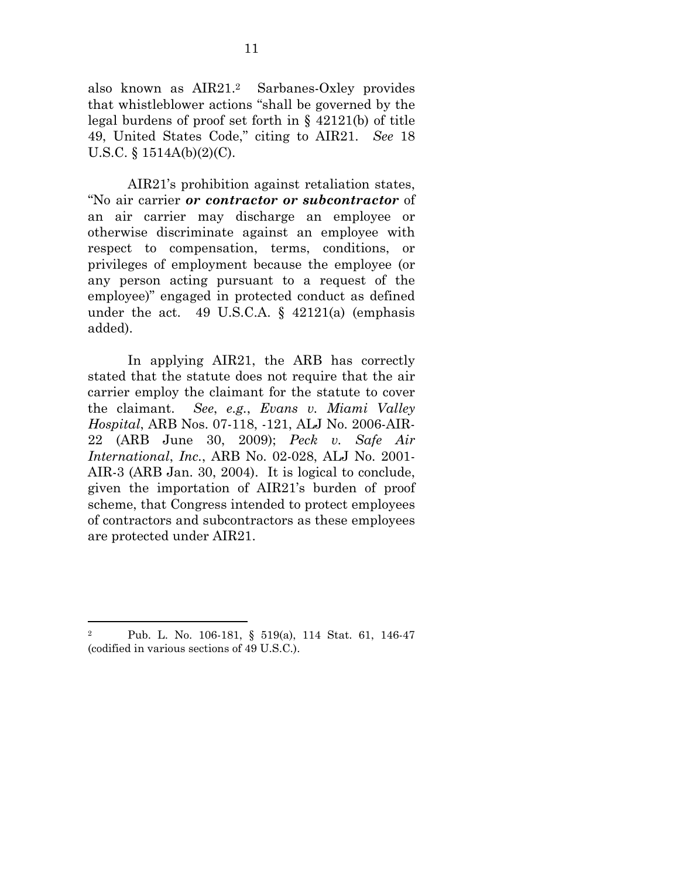also known as AIR21.2 Sarbanes-Oxley provides that whistleblower actions "shall be governed by the legal burdens of proof set forth in § 42121(b) of title 49, United States Code," citing to AIR21. *See* 18 U.S.C. § 1514A(b)(2)(C).

 AIR21's prohibition against retaliation states, "No air carrier *or contractor or subcontractor* of an air carrier may discharge an employee or otherwise discriminate against an employee with respect to compensation, terms, conditions, or privileges of employment because the employee (or any person acting pursuant to a request of the employee)" engaged in protected conduct as defined under the act. 49 U.S.C.A.  $\S$  42121(a) (emphasis added).

 In applying AIR21, the ARB has correctly stated that the statute does not require that the air carrier employ the claimant for the statute to cover the claimant. *See*, *e.g.*, *Evans v. Miami Valley Hospital*, ARB Nos. 07-118, -121, ALJ No. 2006-AIR-22 (ARB June 30, 2009); *Peck v. Safe Air International*, *Inc.*, ARB No. 02-028, ALJ No. 2001- AIR-3 (ARB Jan. 30, 2004). It is logical to conclude, given the importation of AIR21's burden of proof scheme, that Congress intended to protect employees of contractors and subcontractors as these employees are protected under AIR21.

 $\overline{a}$ 

<sup>2</sup> Pub. L. No. 106-181, § 519(a), 114 Stat. 61, 146-47 (codified in various sections of 49 U.S.C.).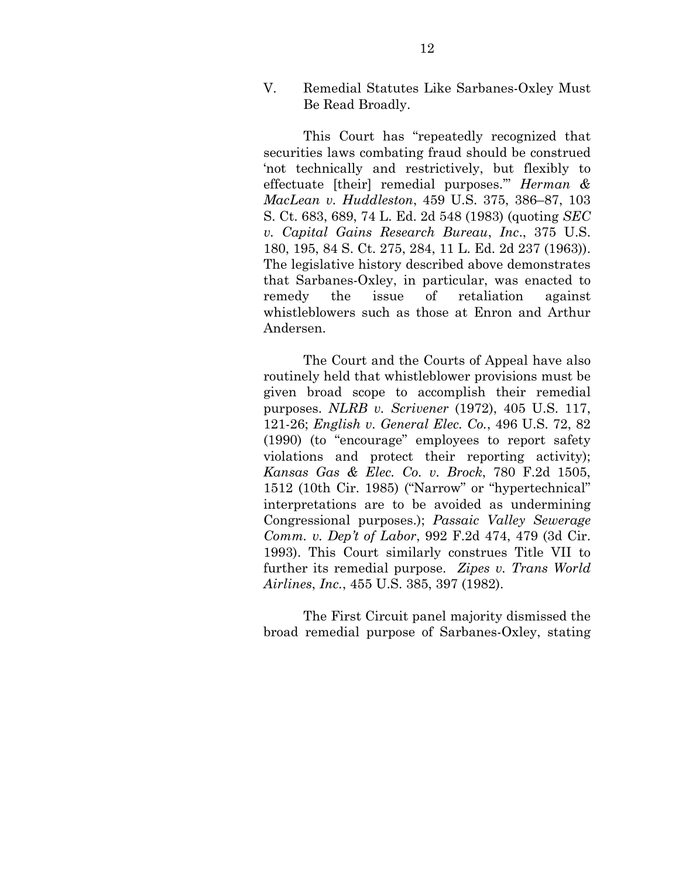V. Remedial Statutes Like Sarbanes-Oxley Must Be Read Broadly.

 This Court has "repeatedly recognized that securities laws combating fraud should be construed 'not technically and restrictively, but flexibly to effectuate [their] remedial purposes.'" *Herman & MacLean v. Huddleston*, 459 U.S. 375, 386–87, 103 S. Ct. 683, 689, 74 L. Ed. 2d 548 (1983) (quoting *SEC v. Capital Gains Research Bureau*, *Inc*., 375 U.S. 180, 195, 84 S. Ct. 275, 284, 11 L. Ed. 2d 237 (1963)). The legislative history described above demonstrates that Sarbanes-Oxley, in particular, was enacted to remedy the issue of retaliation against whistleblowers such as those at Enron and Arthur Andersen.

 The Court and the Courts of Appeal have also routinely held that whistleblower provisions must be given broad scope to accomplish their remedial purposes. *NLRB v. Scrivener* (1972), 405 U.S. 117, 121-26; *English v. General Elec. Co.*, 496 U.S. 72, 82 (1990) (to "encourage" employees to report safety violations and protect their reporting activity); *Kansas Gas & Elec. Co. v. Brock*, 780 F.2d 1505, 1512 (10th Cir. 1985) ("Narrow" or "hypertechnical" interpretations are to be avoided as undermining Congressional purposes.); *Passaic Valley Sewerage Comm. v. Dep't of Labor*, 992 F.2d 474, 479 (3d Cir. 1993). This Court similarly construes Title VII to further its remedial purpose. *Zipes v. Trans World Airlines*, *Inc.*, 455 U.S. 385, 397 (1982).

 The First Circuit panel majority dismissed the broad remedial purpose of Sarbanes-Oxley, stating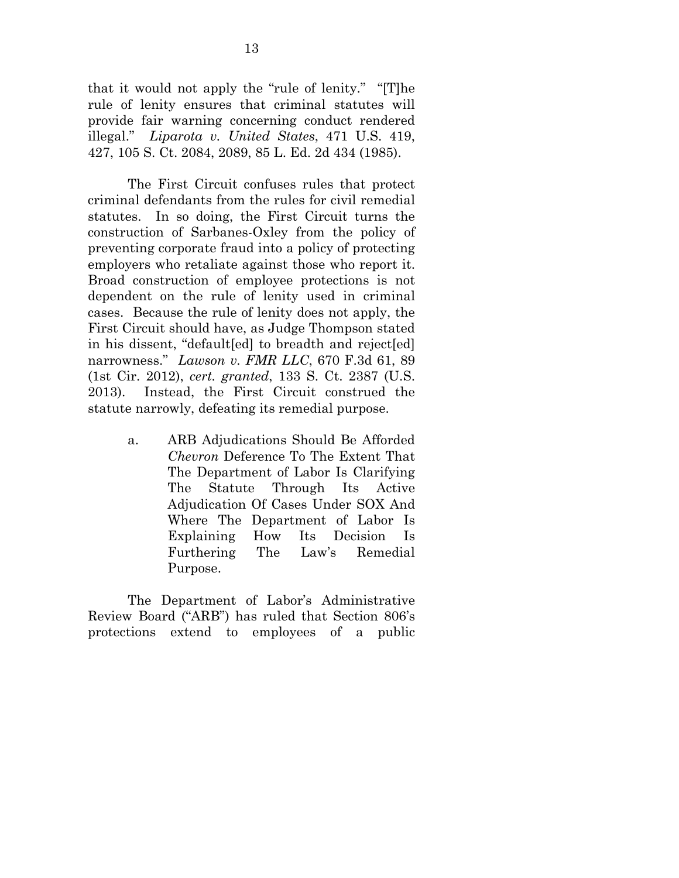that it would not apply the "rule of lenity." "[T]he rule of lenity ensures that criminal statutes will provide fair warning concerning conduct rendered illegal." *Liparota v. United States*, 471 U.S. 419, 427, 105 S. Ct. 2084, 2089, 85 L. Ed. 2d 434 (1985).

 The First Circuit confuses rules that protect criminal defendants from the rules for civil remedial statutes. In so doing, the First Circuit turns the construction of Sarbanes-Oxley from the policy of preventing corporate fraud into a policy of protecting employers who retaliate against those who report it. Broad construction of employee protections is not dependent on the rule of lenity used in criminal cases. Because the rule of lenity does not apply, the First Circuit should have, as Judge Thompson stated in his dissent, "default[ed] to breadth and reject[ed] narrowness." *Lawson v. FMR LLC*, 670 F.3d 61, 89 (1st Cir. 2012), *cert. granted*, 133 S. Ct. 2387 (U.S. 2013). Instead, the First Circuit construed the statute narrowly, defeating its remedial purpose.

> a. ARB Adjudications Should Be Afforded *Chevron* Deference To The Extent That The Department of Labor Is Clarifying The Statute Through Its Active Adjudication Of Cases Under SOX And Where The Department of Labor Is Explaining How Its Decision Is Furthering The Law's Remedial Purpose.

 The Department of Labor's Administrative Review Board ("ARB") has ruled that Section 806's protections extend to employees of a public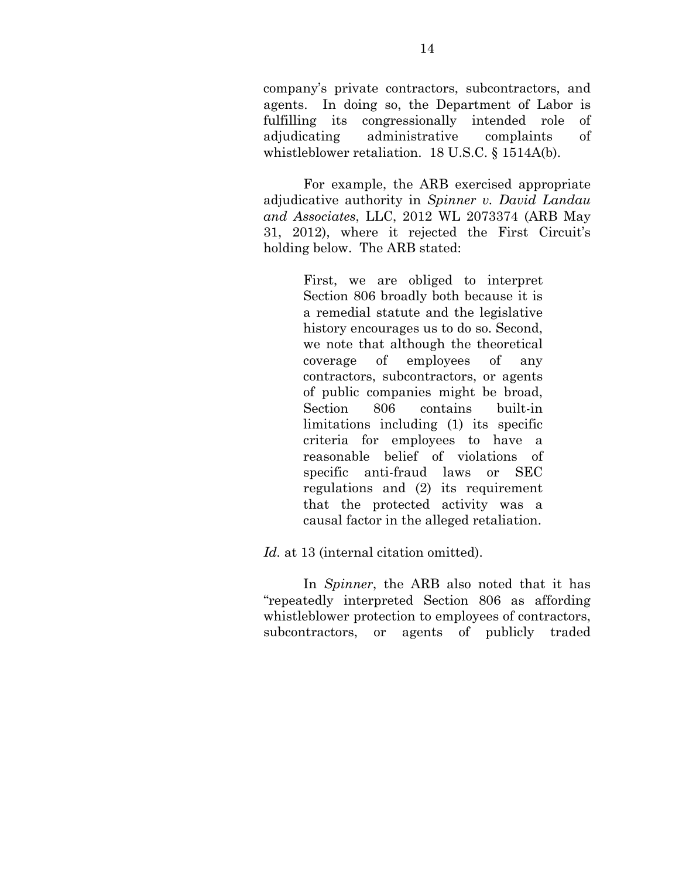company's private contractors, subcontractors, and agents. In doing so, the Department of Labor is fulfilling its congressionally intended role of adjudicating administrative complaints of whistleblower retaliation. 18 U.S.C. § 1514A(b).

 For example, the ARB exercised appropriate adjudicative authority in *Spinner v. David Landau and Associates*, LLC, 2012 WL 2073374 (ARB May 31, 2012), where it rejected the First Circuit's holding below. The ARB stated:

> First, we are obliged to interpret Section 806 broadly both because it is a remedial statute and the legislative history encourages us to do so. Second, we note that although the theoretical coverage of employees of any contractors, subcontractors, or agents of public companies might be broad, Section 806 contains built-in limitations including (1) its specific criteria for employees to have a reasonable belief of violations of specific anti-fraud laws or SEC regulations and (2) its requirement that the protected activity was a causal factor in the alleged retaliation.

*Id.* at 13 (internal citation omitted).

 In *Spinner*, the ARB also noted that it has "repeatedly interpreted Section 806 as affording whistleblower protection to employees of contractors, subcontractors, or agents of publicly traded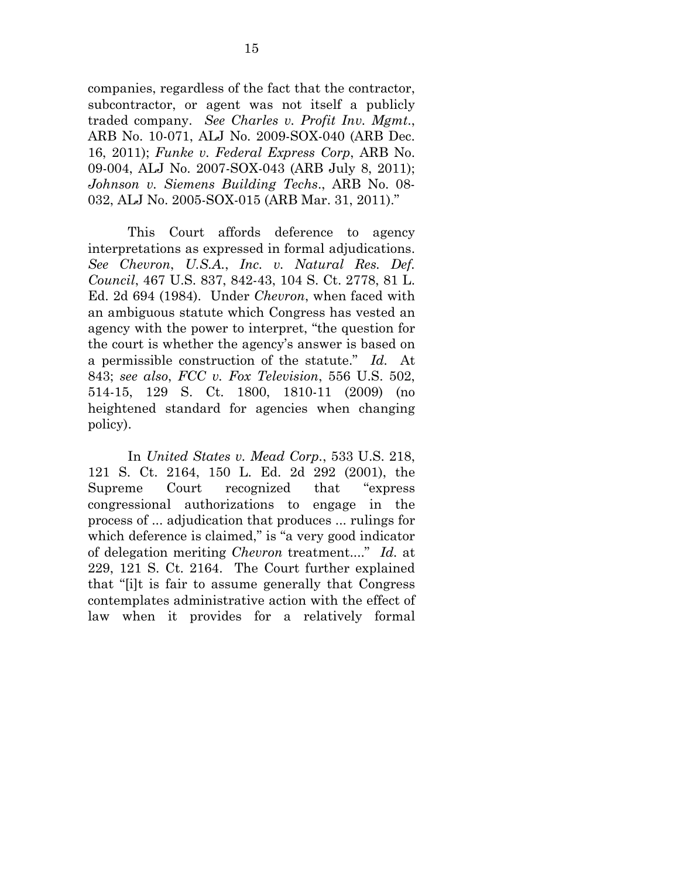companies, regardless of the fact that the contractor, subcontractor, or agent was not itself a publicly traded company. *See Charles v. Profit Inv. Mgmt*., ARB No. 10-071, ALJ No. 2009-SOX-040 (ARB Dec. 16, 2011); *Funke v. Federal Express Corp*, ARB No. 09-004, ALJ No. 2007-SOX-043 (ARB July 8, 2011); *Johnson v. Siemens Building Techs*., ARB No. 08- 032, ALJ No. 2005-SOX-015 (ARB Mar. 31, 2011)."

 This Court affords deference to agency interpretations as expressed in formal adjudications. *See Chevron*, *U.S.A.*, *Inc. v. Natural Res. Def. Council*, 467 U.S. 837, 842-43, 104 S. Ct. 2778, 81 L. Ed. 2d 694 (1984). Under *Chevron*, when faced with an ambiguous statute which Congress has vested an agency with the power to interpret, "the question for the court is whether the agency's answer is based on a permissible construction of the statute." *Id.* At 843; *see also*, *FCC v. Fox Television*, 556 U.S. 502, 514-15, 129 S. Ct. 1800, 1810-11 (2009) (no heightened standard for agencies when changing policy).

 In *United States v. Mead Corp.*, 533 U.S. 218, 121 S. Ct. 2164, 150 L. Ed. 2d 292 (2001), the Supreme Court recognized that "express congressional authorizations to engage in the process of ... adjudication that produces ... rulings for which deference is claimed," is "a very good indicator of delegation meriting *Chevron* treatment...." *Id.* at 229, 121 S. Ct. 2164. The Court further explained that "[i]t is fair to assume generally that Congress contemplates administrative action with the effect of law when it provides for a relatively formal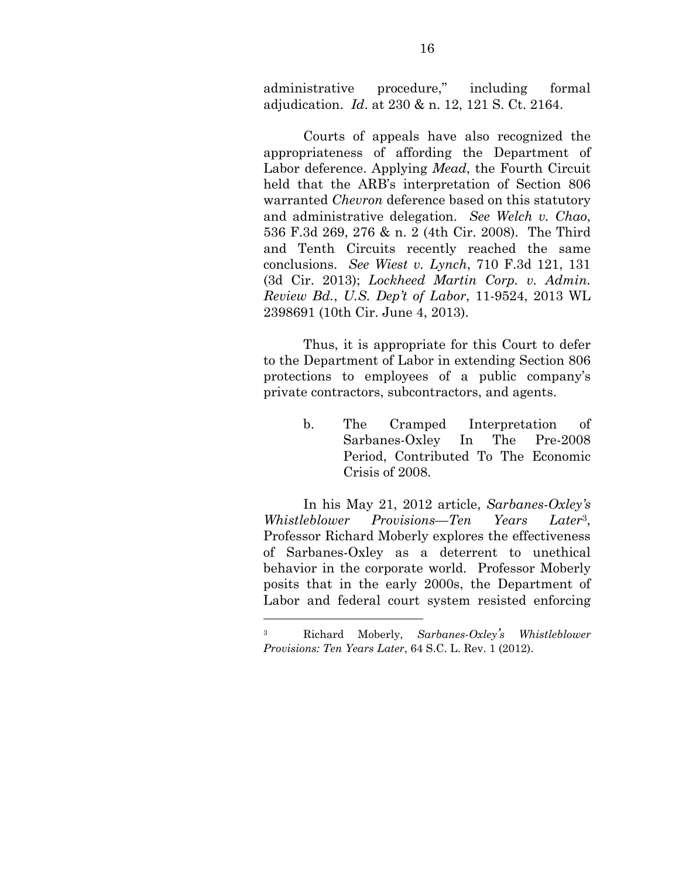administrative procedure," including formal adjudication. *Id*. at 230 & n. 12, 121 S. Ct. 2164.

 Courts of appeals have also recognized the appropriateness of affording the Department of Labor deference. Applying *Mead*, the Fourth Circuit held that the ARB's interpretation of Section 806 warranted *Chevron* deference based on this statutory and administrative delegation. *See Welch v. Chao*, 536 F.3d 269, 276 & n. 2 (4th Cir. 2008). The Third and Tenth Circuits recently reached the same conclusions. *See Wiest v. Lynch*, 710 F.3d 121, 131 (3d Cir. 2013); *Lockheed Martin Corp. v. Admin. Review Bd.*, *U.S. Dep't of Labor*, 11-9524, 2013 WL 2398691 (10th Cir. June 4, 2013).

 Thus, it is appropriate for this Court to defer to the Department of Labor in extending Section 806 protections to employees of a public company's private contractors, subcontractors, and agents.

> b. The Cramped Interpretation of Sarbanes-Oxley In The Pre-2008 Period, Contributed To The Economic Crisis of 2008.

 In his May 21, 2012 article, *Sarbanes-Oxley's Whistleblower Provisions––Ten Years Later*3, Professor Richard Moberly explores the effectiveness of Sarbanes-Oxley as a deterrent to unethical behavior in the corporate world. Professor Moberly posits that in the early 2000s, the Department of Labor and federal court system resisted enforcing

1

<sup>3</sup> Richard Moberly, *Sarbanes-Oxley's Whistleblower Provisions: Ten Years Later*, 64 S.C. L. Rev. 1 (2012).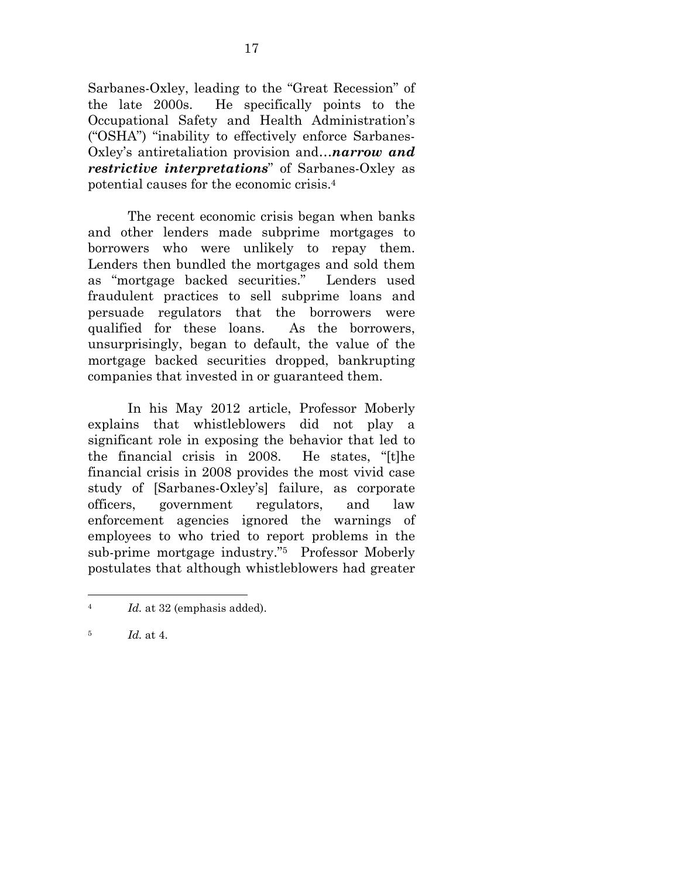Sarbanes-Oxley, leading to the "Great Recession" of the late 2000s. He specifically points to the Occupational Safety and Health Administration's ("OSHA") "inability to effectively enforce Sarbanes-Oxley's antiretaliation provision and…*narrow and restrictive interpretations*" of Sarbanes-Oxley as potential causes for the economic crisis.4

 The recent economic crisis began when banks and other lenders made subprime mortgages to borrowers who were unlikely to repay them. Lenders then bundled the mortgages and sold them as "mortgage backed securities." Lenders used fraudulent practices to sell subprime loans and persuade regulators that the borrowers were qualified for these loans. As the borrowers, unsurprisingly, began to default, the value of the mortgage backed securities dropped, bankrupting companies that invested in or guaranteed them.

 In his May 2012 article, Professor Moberly explains that whistleblowers did not play a significant role in exposing the behavior that led to the financial crisis in 2008. He states, "[t]he financial crisis in 2008 provides the most vivid case study of [Sarbanes-Oxley's] failure, as corporate officers, government regulators, and law enforcement agencies ignored the warnings of employees to who tried to report problems in the sub-prime mortgage industry."5 Professor Moberly postulates that although whistleblowers had greater

 $\overline{a}$ 

<sup>4</sup>*Id.* at 32 (emphasis added).

<sup>5</sup> *Id.* at 4.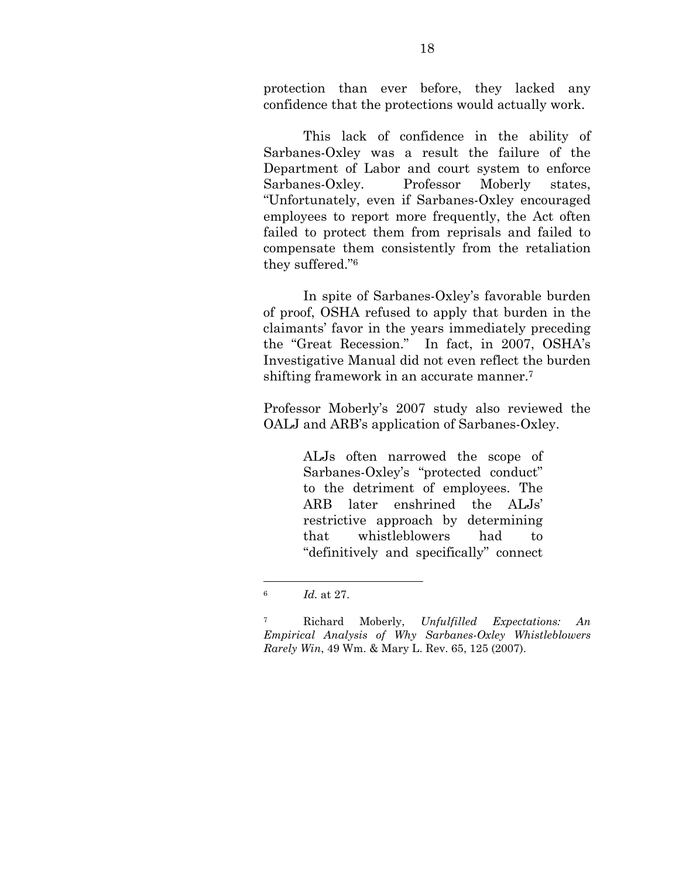protection than ever before, they lacked any confidence that the protections would actually work.

 This lack of confidence in the ability of Sarbanes-Oxley was a result the failure of the Department of Labor and court system to enforce Sarbanes-Oxley. Professor Moberly states, "Unfortunately, even if Sarbanes-Oxley encouraged employees to report more frequently, the Act often failed to protect them from reprisals and failed to compensate them consistently from the retaliation they suffered."6

 In spite of Sarbanes-Oxley's favorable burden of proof, OSHA refused to apply that burden in the claimants' favor in the years immediately preceding the "Great Recession." In fact, in 2007, OSHA's Investigative Manual did not even reflect the burden shifting framework in an accurate manner.7

Professor Moberly's 2007 study also reviewed the OALJ and ARB's application of Sarbanes-Oxley.

> ALJs often narrowed the scope of Sarbanes-Oxley's "protected conduct" to the detriment of employees. The ARB later enshrined the ALJs' restrictive approach by determining that whistleblowers had to "definitively and specifically" connect

1

<sup>6</sup>*Id.* at 27.

<sup>7</sup> Richard Moberly, *Unfulfilled Expectations: An Empirical Analysis of Why Sarbanes-Oxley Whistleblowers Rarely Win*, 49 Wm. & Mary L. Rev. 65, 125 (2007).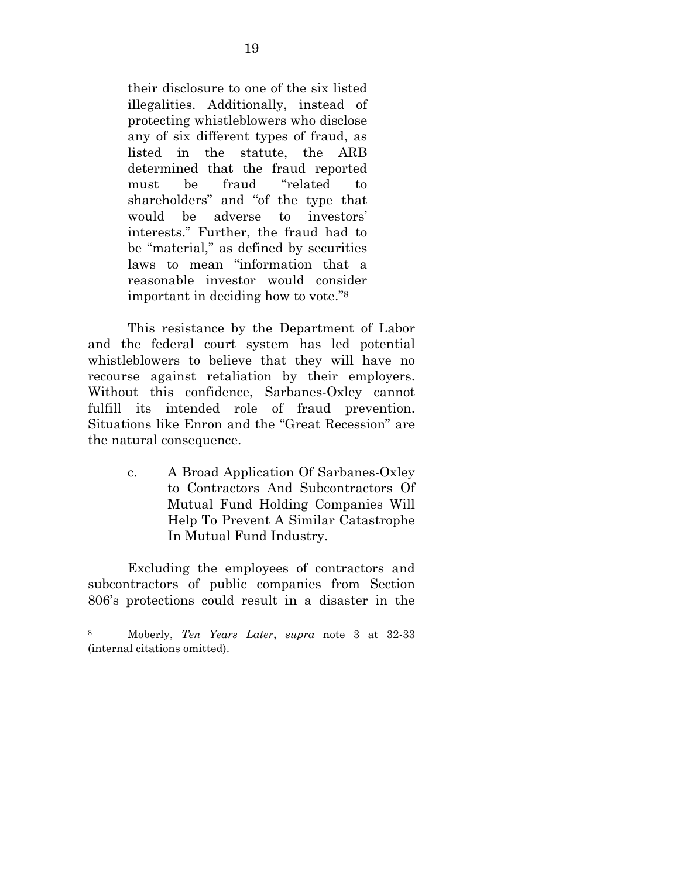their disclosure to one of the six listed illegalities. Additionally, instead of protecting whistleblowers who disclose any of six different types of fraud, as listed in the statute, the ARB determined that the fraud reported must be fraud "related to shareholders" and "of the type that would be adverse to investors' interests." Further, the fraud had to be "material," as defined by securities laws to mean "information that a reasonable investor would consider important in deciding how to vote."8

 This resistance by the Department of Labor and the federal court system has led potential whistleblowers to believe that they will have no recourse against retaliation by their employers. Without this confidence, Sarbanes-Oxley cannot fulfill its intended role of fraud prevention. Situations like Enron and the "Great Recession" are the natural consequence.

> c. A Broad Application Of Sarbanes-Oxley to Contractors And Subcontractors Of Mutual Fund Holding Companies Will Help To Prevent A Similar Catastrophe In Mutual Fund Industry.

 Excluding the employees of contractors and subcontractors of public companies from Section 806's protections could result in a disaster in the

 $\overline{a}$ 

<sup>8</sup> Moberly, *Ten Years Later*, *supra* note 3 at 32-33 (internal citations omitted).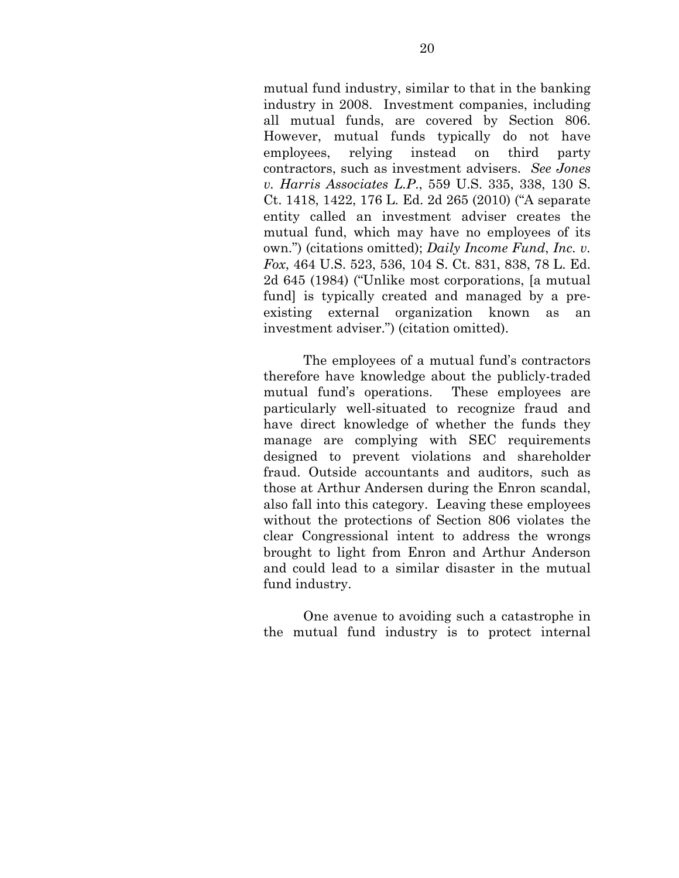mutual fund industry, similar to that in the banking industry in 2008. Investment companies, including all mutual funds, are covered by Section 806. However, mutual funds typically do not have employees, relying instead on third party contractors, such as investment advisers. *See Jones v. Harris Associates L.P*., 559 U.S. 335, 338, 130 S. Ct. 1418, 1422, 176 L. Ed. 2d 265 (2010) ("A separate entity called an investment adviser creates the mutual fund, which may have no employees of its own.") (citations omitted); *Daily Income Fund*, *Inc. v. Fox*, 464 U.S. 523, 536, 104 S. Ct. 831, 838, 78 L. Ed. 2d 645 (1984) ("Unlike most corporations, [a mutual fund] is typically created and managed by a preexisting external organization known as an investment adviser.") (citation omitted).

 The employees of a mutual fund's contractors therefore have knowledge about the publicly-traded mutual fund's operations. These employees are particularly well-situated to recognize fraud and have direct knowledge of whether the funds they manage are complying with SEC requirements designed to prevent violations and shareholder fraud. Outside accountants and auditors, such as those at Arthur Andersen during the Enron scandal, also fall into this category. Leaving these employees without the protections of Section 806 violates the clear Congressional intent to address the wrongs brought to light from Enron and Arthur Anderson and could lead to a similar disaster in the mutual fund industry.

 One avenue to avoiding such a catastrophe in the mutual fund industry is to protect internal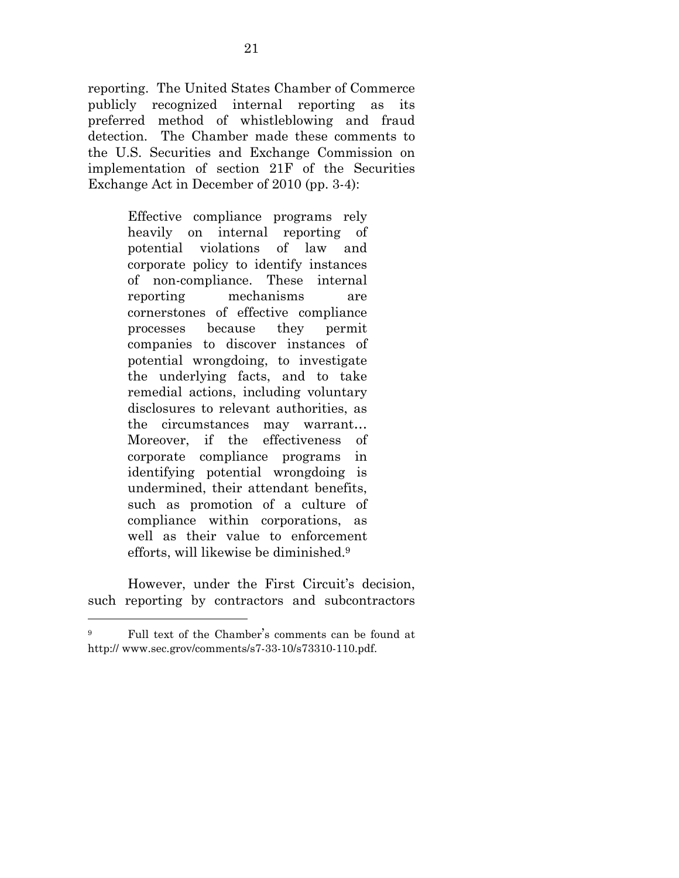reporting. The United States Chamber of Commerce publicly recognized internal reporting as its preferred method of whistleblowing and fraud detection. The Chamber made these comments to the U.S. Securities and Exchange Commission on implementation of section 21F of the Securities Exchange Act in December of 2010 (pp. 3-4):

> Effective compliance programs rely heavily on internal reporting of potential violations of law and corporate policy to identify instances of non-compliance. These internal reporting mechanisms are cornerstones of effective compliance processes because they permit companies to discover instances of potential wrongdoing, to investigate the underlying facts, and to take remedial actions, including voluntary disclosures to relevant authorities, as the circumstances may warrant… Moreover, if the effectiveness of corporate compliance programs in identifying potential wrongdoing is undermined, their attendant benefits, such as promotion of a culture of compliance within corporations, as well as their value to enforcement efforts, will likewise be diminished.9

 However, under the First Circuit's decision, such reporting by contractors and subcontractors

 $\overline{a}$ 

Full text of the Chamber's comments can be found at http:// www.sec.grov/comments/s7-33-10/s73310-110.pdf.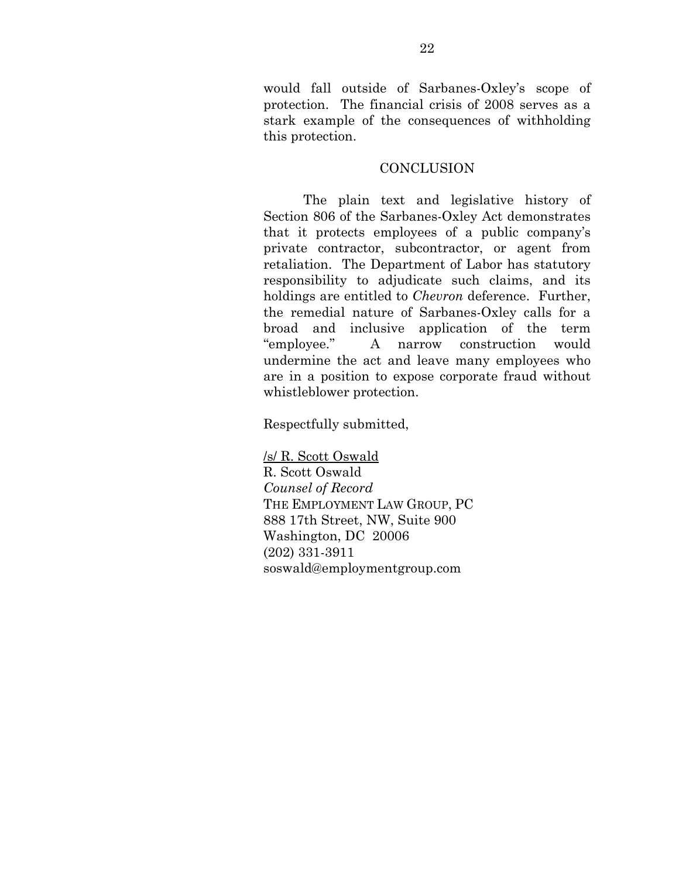would fall outside of Sarbanes-Oxley's scope of protection. The financial crisis of 2008 serves as a stark example of the consequences of withholding this protection.

#### **CONCLUSION**

 The plain text and legislative history of Section 806 of the Sarbanes-Oxley Act demonstrates that it protects employees of a public company's private contractor, subcontractor, or agent from retaliation. The Department of Labor has statutory responsibility to adjudicate such claims, and its holdings are entitled to *Chevron* deference. Further, the remedial nature of Sarbanes-Oxley calls for a broad and inclusive application of the term "employee." A narrow construction would undermine the act and leave many employees who are in a position to expose corporate fraud without whistleblower protection.

Respectfully submitted,

/s/ R. Scott Oswald R. Scott Oswald *Counsel of Record*  THE EMPLOYMENT LAW GROUP, PC 888 17th Street, NW, Suite 900 Washington, DC 20006 (202) 331-3911 soswald@employmentgroup.com